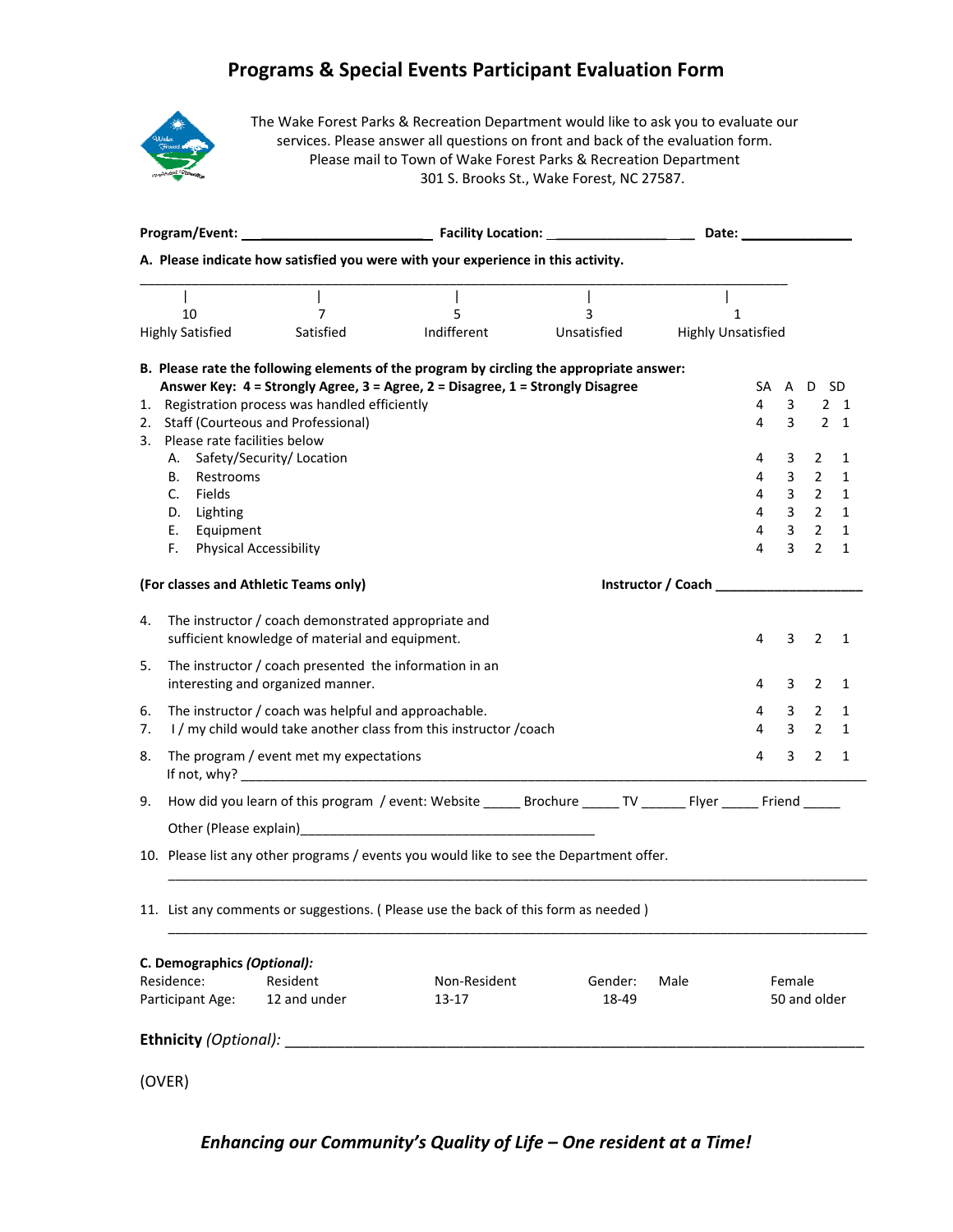## **Programs & Special Events Participant Evaluation Form**



The Wake Forest Parks & Recreation Department would like to ask you to evaluate our services. Please answer all questions on front and back of the evaluation form. Please mail to Town of Wake Forest Parks & Recreation Department 301 S. Brooks St., Wake Forest, NC 27587.

|    |                                                                                                                  |                                                                                             | A. Please indicate how satisfied you were with your experience in this activity.         |             |                           |                |                |                |  |  |  |
|----|------------------------------------------------------------------------------------------------------------------|---------------------------------------------------------------------------------------------|------------------------------------------------------------------------------------------|-------------|---------------------------|----------------|----------------|----------------|--|--|--|
|    | 10                                                                                                               | $\overline{7}$                                                                              | 5                                                                                        | 3           | $\mathbf{1}$              |                |                |                |  |  |  |
|    | <b>Highly Satisfied</b>                                                                                          | Satisfied                                                                                   | Indifferent                                                                              | Unsatisfied | <b>Highly Unsatisfied</b> |                |                |                |  |  |  |
|    |                                                                                                                  |                                                                                             | B. Please rate the following elements of the program by circling the appropriate answer: |             |                           |                |                |                |  |  |  |
|    |                                                                                                                  |                                                                                             | Answer Key: 4 = Strongly Agree, 3 = Agree, 2 = Disagree, 1 = Strongly Disagree           |             | SA                        | A              | D SD           |                |  |  |  |
|    |                                                                                                                  | 1. Registration process was handled efficiently                                             |                                                                                          |             | 4                         | 3              |                | 2 <sub>1</sub> |  |  |  |
|    |                                                                                                                  | 2. Staff (Courteous and Professional)                                                       |                                                                                          |             | 4                         | 3              |                | $2 \quad 1$    |  |  |  |
|    | 3. Please rate facilities below                                                                                  |                                                                                             |                                                                                          |             |                           |                |                |                |  |  |  |
|    | А.                                                                                                               | Safety/Security/ Location                                                                   |                                                                                          |             | 4                         | 3              | 2              | 1              |  |  |  |
|    | Restrooms<br>В.                                                                                                  |                                                                                             |                                                                                          |             | 4                         | 3              | $\overline{2}$ | 1              |  |  |  |
|    | Fields<br>C.                                                                                                     |                                                                                             |                                                                                          |             | 4                         | 3              | $\overline{2}$ | $\mathbf{1}$   |  |  |  |
|    | Lighting<br>D.                                                                                                   |                                                                                             |                                                                                          |             | 4                         | $\overline{3}$ | $\overline{2}$ | 1              |  |  |  |
|    | Equipment<br>Е.                                                                                                  |                                                                                             |                                                                                          |             | 4                         | 3              | $\overline{2}$ | $\mathbf{1}$   |  |  |  |
|    | F.                                                                                                               | <b>Physical Accessibility</b>                                                               |                                                                                          |             | 4                         | 3              | $\overline{2}$ | 1              |  |  |  |
|    |                                                                                                                  | (For classes and Athletic Teams only)                                                       |                                                                                          |             |                           |                |                |                |  |  |  |
| 4. |                                                                                                                  | The instructor / coach demonstrated appropriate and                                         |                                                                                          |             |                           |                |                |                |  |  |  |
|    |                                                                                                                  | sufficient knowledge of material and equipment.                                             |                                                                                          |             | 4                         | 3              | $\overline{2}$ | 1              |  |  |  |
| 5. |                                                                                                                  | The instructor / coach presented the information in an<br>interesting and organized manner. |                                                                                          |             | 4                         | 3              | $\overline{2}$ | 1              |  |  |  |
| 6. |                                                                                                                  | The instructor / coach was helpful and approachable.                                        |                                                                                          |             | 4                         | 3              | 2              | $\mathbf{1}$   |  |  |  |
| 7. |                                                                                                                  |                                                                                             | I / my child would take another class from this instructor / coach                       |             | 4                         | $\overline{3}$ | $\overline{2}$ | $\mathbf{1}$   |  |  |  |
| 8. |                                                                                                                  | The program / event met my expectations                                                     |                                                                                          |             | 4                         | 3 <sup>1</sup> | $\overline{2}$ | 1              |  |  |  |
| 9. | How did you learn of this program / event: Website _______ Brochure _______ TV _______ Flyer ______ Friend _____ |                                                                                             |                                                                                          |             |                           |                |                |                |  |  |  |
|    |                                                                                                                  |                                                                                             |                                                                                          |             |                           |                |                |                |  |  |  |
|    | 10. Please list any other programs / events you would like to see the Department offer.                          |                                                                                             |                                                                                          |             |                           |                |                |                |  |  |  |
|    |                                                                                                                  |                                                                                             | 11. List any comments or suggestions. (Please use the back of this form as needed)       |             |                           |                |                |                |  |  |  |
|    |                                                                                                                  |                                                                                             |                                                                                          |             |                           |                |                |                |  |  |  |
|    | C. Demographics (Optional):                                                                                      |                                                                                             |                                                                                          |             |                           |                |                |                |  |  |  |
|    | Residence:                                                                                                       | Resident                                                                                    | Non-Resident                                                                             | Gender:     | Male                      | Female         |                |                |  |  |  |
|    |                                                                                                                  | 12 and under                                                                                |                                                                                          |             |                           |                |                |                |  |  |  |

(OVER)

## *Enhancing our Community's Quality of Life – One resident at a Time!*